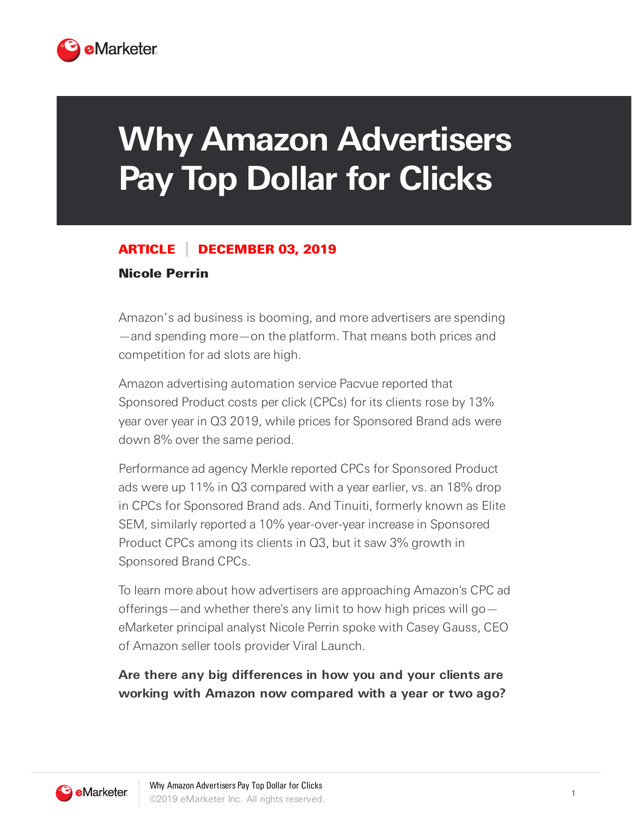

# **Why Amazon Advertisers Pay Top Dollar for Clicks**

#### ARTICLE DECEMBER 03, 2019

#### Nicole Perrin

Amazon's ad business is booming, and more advertisers are spending —and spending more—on the platform. That means both prices and competition for ad slots are high.

Amazon advertising automation service Pacvue reported that Sponsored Product costs per click (CPCs) for its clients rose by 13% year over year in Q3 2019, while prices for Sponsored Brand ads were down 8% over the same period.

Performance ad agency Merkle reported CPCs for Sponsored Product ads were up 11% in Q3 compared with a year earlier, vs. an 18% drop in CPCs for Sponsored Brand ads. And Tinuiti, formerly known as Elite SEM, similarly reported a 10% year-over-year increase in Sponsored Product CPCs among its clients in Q3, but it saw 3% growth in Sponsored Brand CPCs.

To learn more about how advertisers are approaching Amazon's CPC ad offerings—and whether there's any limit to how high prices will go eMarketer principal analyst Nicole Perrin spoke with Casey Gauss, CEO of Amazon seller tools provider Viral Launch.

#### **Are there any big differences in how you and your clients are working with Amazon now compared with a year or two ago?**

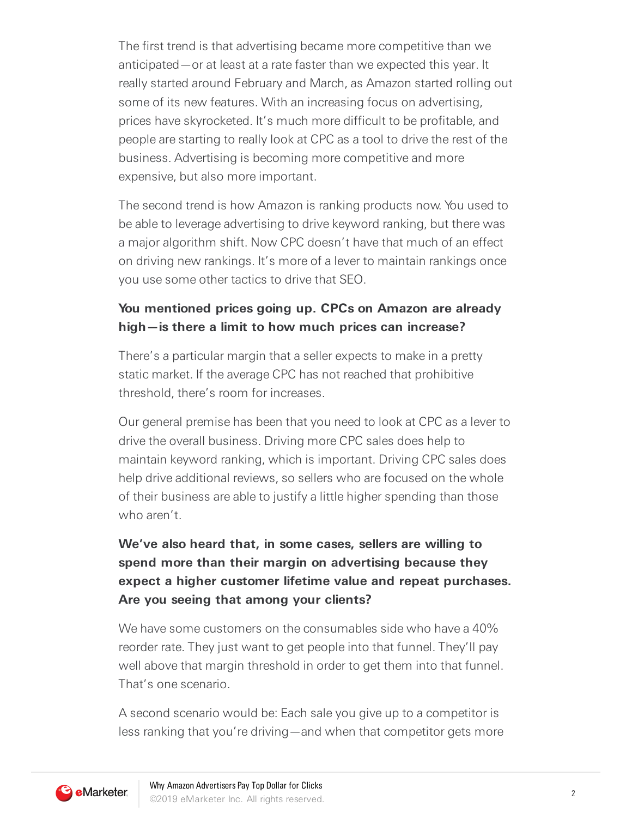The first trend is that advertising became more competitive than we anticipated—or at least at a rate faster than we expected this year. It really started around February and March, as Amazon started rolling out some of its new features. With an increasing focus on advertising, prices have skyrocketed. It's much more difficult to be profitable, and people are starting to really look at CPC as a tool to drive the rest of the business. Advertising is becoming more competitive and more expensive, but also more important.

The second trend is how Amazon is ranking products now. You used to be able to leverage advertising to drive keyword ranking, but there was a major algorithm shift. Now CPC doesn't have that much of an effect on driving new rankings. It's more of a lever to maintain rankings once you use some other tactics to drive that SEO.

### **You mentioned prices going up. CPCs on Amazon are already high—is there a limit to how much prices can increase?**

There's a particular margin that a seller expects to make in a pretty static market. If the average CPC has not reached that prohibitive threshold, there's room for increases.

Our general premise has been that you need to look at CPC as a lever to drive the overall business. Driving more CPC sales does help to maintain keyword ranking, which is important. Driving CPC sales does help drive additional reviews, so sellers who are focused on the whole of their business are able to justify a little higher spending than those who aren't

## **We've also heard that, in some cases, sellers are willing to spend more than their margin on advertising because they expect a higher customer lifetime value and repeat purchases. Are you seeing that among your clients?**

We have some customers on the consumables side who have a 40% reorder rate. They just want to get people into that funnel. They'll pay well above that margin threshold in order to get them into that funnel. That's one scenario.

A second scenario would be: Each sale you give up to a competitor is less ranking that you're driving—and when that competitor gets more